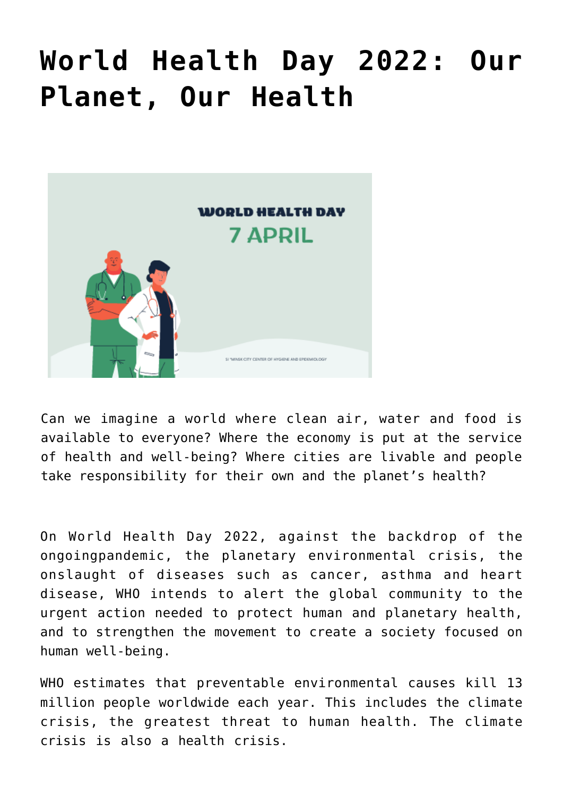# **[World Health Day 2022: Our](https://ztem.by/en/news-and-media/news-2022-04-16-3/) [Planet, Our Health](https://ztem.by/en/news-and-media/news-2022-04-16-3/)**



Can we imagine a world where clean air, water and food is available to everyone? Where the economy is put at the service of health and well-being? Where cities are livable and people take responsibility for their own and the planet's health?

On World Health Day 2022, against the backdrop of the ongoingpandemic, the planetary environmental crisis, the onslaught of diseases such as cancer, asthma and heart disease, WHO intends to alert the global community to the urgent action needed to protect human and planetary health, and to strengthen the movement to create a society focused on human well-being.

WHO estimates that preventable environmental causes kill 13 million people worldwide each year. This includes the climate crisis, the greatest threat to human health. The climate crisis is also a health crisis.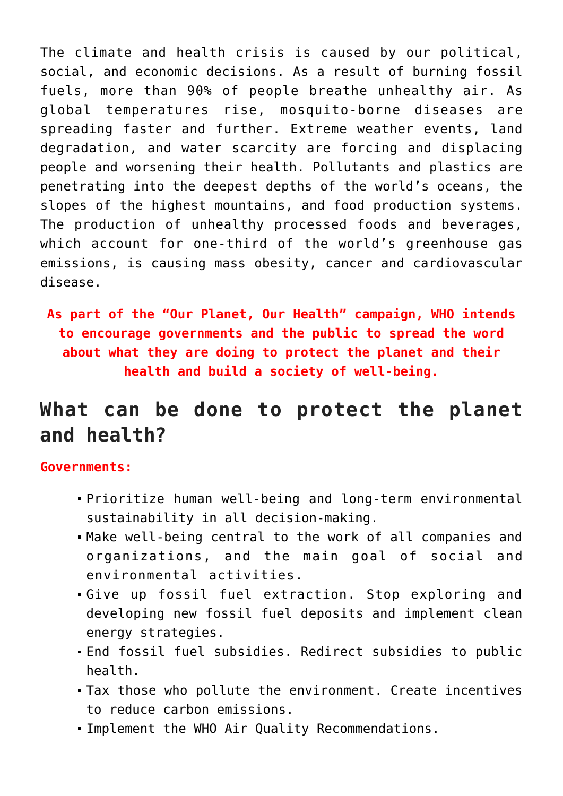The climate and health crisis is caused by our political, social, and economic decisions. As a result of burning fossil fuels, more than 90% of people breathe unhealthy air. As global temperatures rise, mosquito-borne diseases are spreading faster and further. Extreme weather events, land degradation, and water scarcity are forcing and displacing people and worsening their health. Pollutants and plastics are penetrating into the deepest depths of the world's oceans, the slopes of the highest mountains, and food production systems. The production of unhealthy processed foods and beverages, which account for one-third of the world's greenhouse gas emissions, is causing mass obesity, cancer and cardiovascular disease.

**As part of the "Our Planet, Our Health" campaign, WHO intends to encourage governments and the public to spread the word about what they are doing to protect the planet and their health and build a society of well-being.**

# **What can be done to protect the planet and health?**

#### **Governments:**

- Prioritize human well-being and long-term environmental sustainability in all decision-making.
- Make well-being central to the work of all companies and organizations, and the main goal of social and environmental activities.
- Give up fossil fuel extraction. Stop exploring and developing new fossil fuel deposits and implement clean energy strategies.
- End fossil fuel subsidies. Redirect subsidies to public health.
- Tax those who pollute the environment. Create incentives to reduce carbon emissions.
- Implement the WHO Air Quality Recommendations.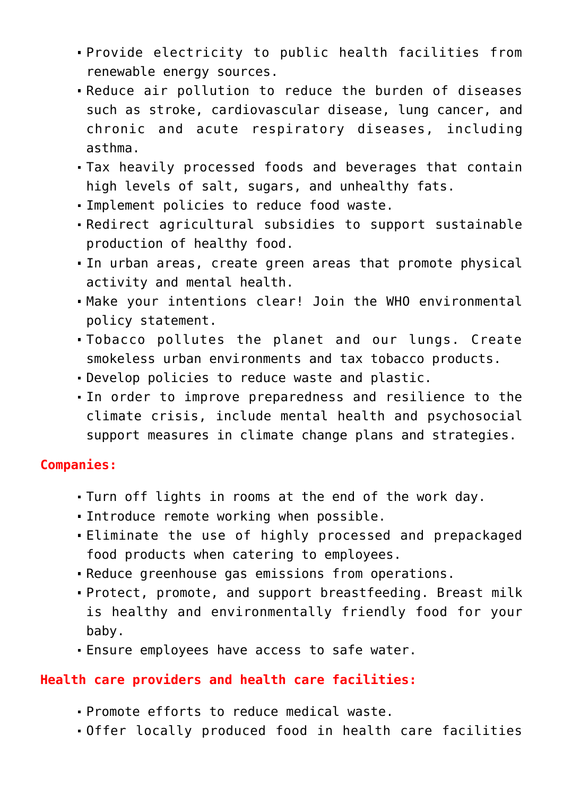- Provide electricity to public health facilities from renewable energy sources.
- Reduce air pollution to reduce the burden of diseases such as stroke, cardiovascular disease, lung cancer, and chronic and acute respiratory diseases, including asthma.
- Tax heavily processed foods and beverages that contain high levels of salt, sugars, and unhealthy fats.
- Implement policies to reduce food waste.
- Redirect agricultural subsidies to support sustainable production of healthy food.
- In urban areas, create green areas that promote physical activity and mental health.
- Make your intentions clear! Join the WHO environmental policy statement.
- Tobacco pollutes the planet and our lungs. Create smokeless urban environments and tax tobacco products.
- Develop policies to reduce waste and plastic.
- In order to improve preparedness and resilience to the climate crisis, include mental health and psychosocial support measures in climate change plans and strategies.

#### **Companies:**

- Turn off lights in rooms at the end of the work day.
- Introduce remote working when possible.
- Eliminate the use of highly processed and prepackaged food products when catering to employees.
- Reduce greenhouse gas emissions from operations.
- Protect, promote, and support breastfeeding. Breast milk is healthy and environmentally friendly food for your baby.
- Ensure employees have access to safe water.

#### **Health care providers and health care facilities:**

- Promote efforts to reduce medical waste.
- Offer locally produced food in health care facilities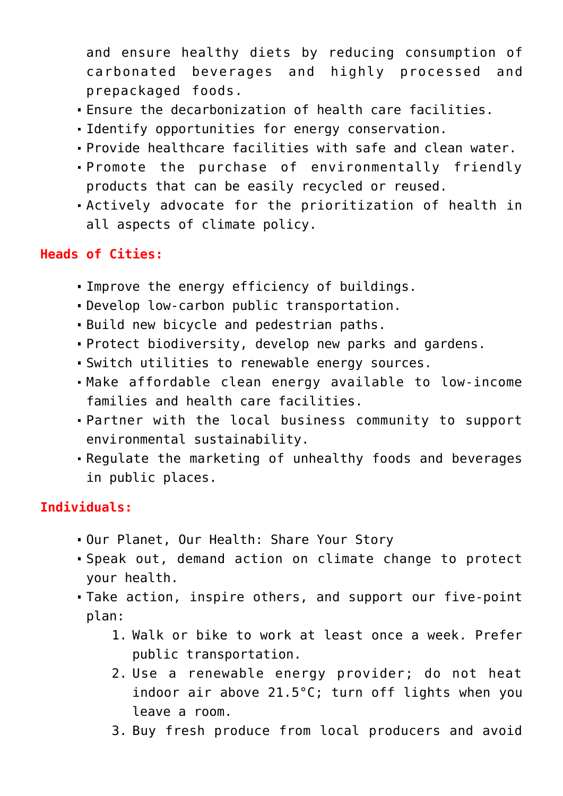and ensure healthy diets by reducing consumption of carbonated beverages and highly processed and prepackaged foods.

- Ensure the decarbonization of health care facilities.
- Identify opportunities for energy conservation.
- Provide healthcare facilities with safe and clean water.
- Promote the purchase of environmentally friendly products that can be easily recycled or reused.
- Actively advocate for the prioritization of health in all aspects of climate policy.

### **Heads of Cities:**

- Improve the energy efficiency of buildings.
- Develop low-carbon public transportation.
- Build new bicycle and pedestrian paths.
- Protect biodiversity, develop new parks and gardens.
- Switch utilities to renewable energy sources.
- Make affordable clean energy available to low-income families and health care facilities.
- Partner with the local business community to support environmental sustainability.
- Regulate the marketing of unhealthy foods and beverages in public places.

## **Individuals:**

- Our Planet, Our Health: Share Your Story
- Speak out, demand action on climate change to protect your health.
- Take action, inspire others, and support our five-point plan:
	- 1. Walk or bike to work at least once a week. Prefer public transportation.
	- 2. Use a renewable energy provider; do not heat indoor air above 21.5°C; turn off lights when you leave a room.
	- 3. Buy fresh produce from local producers and avoid